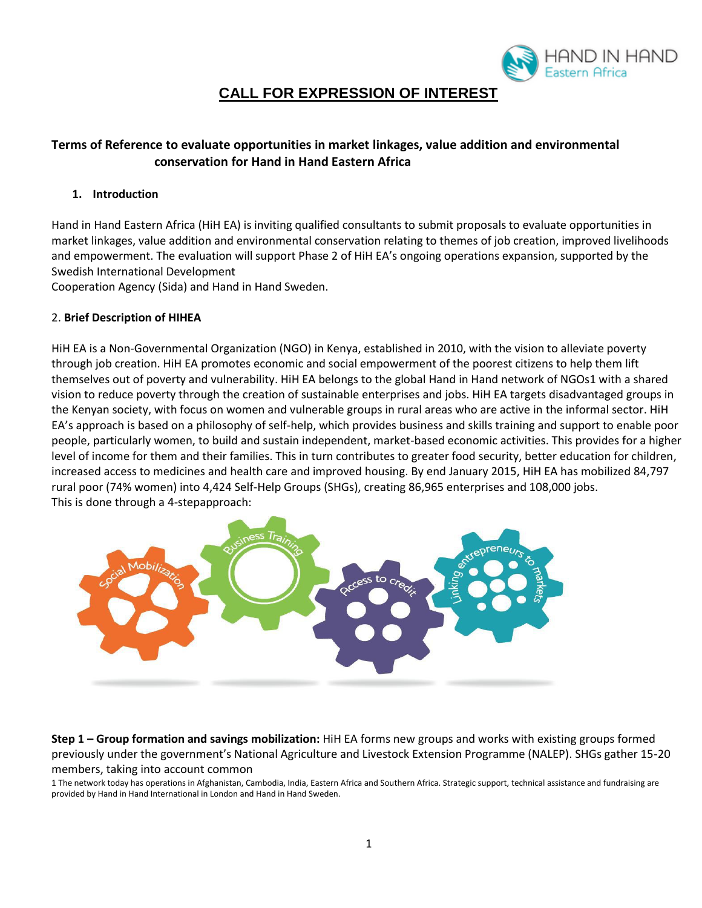

# **CALL FOR EXPRESSION OF INTEREST**

## **Terms of Reference to evaluate opportunities in market linkages, value addition and environmental conservation for Hand in Hand Eastern Africa**

## **1. Introduction**

Hand in Hand Eastern Africa (HiH EA) is inviting qualified consultants to submit proposals to evaluate opportunities in market linkages, value addition and environmental conservation relating to themes of job creation, improved livelihoods and empowerment. The evaluation will support Phase 2 of HiH EA's ongoing operations expansion, supported by the Swedish International Development

Cooperation Agency (Sida) and Hand in Hand Sweden.

## 2. **Brief Description of HIHEA**

HiH EA is a Non-Governmental Organization (NGO) in Kenya, established in 2010, with the vision to alleviate poverty through job creation. HiH EA promotes economic and social empowerment of the poorest citizens to help them lift themselves out of poverty and vulnerability. HiH EA belongs to the global Hand in Hand network of NGOs1 with a shared vision to reduce poverty through the creation of sustainable enterprises and jobs. HiH EA targets disadvantaged groups in the Kenyan society, with focus on women and vulnerable groups in rural areas who are active in the informal sector. HiH EA's approach is based on a philosophy of self-help, which provides business and skills training and support to enable poor people, particularly women, to build and sustain independent, market-based economic activities. This provides for a higher level of income for them and their families. This in turn contributes to greater food security, better education for children, increased access to medicines and health care and improved housing. By end January 2015, HiH EA has mobilized 84,797 rural poor (74% women) into 4,424 Self-Help Groups (SHGs), creating 86,965 enterprises and 108,000 jobs. This is done through a 4-stepapproach:



**Step 1 – Group formation and savings mobilization:** HiH EA forms new groups and works with existing groups formed previously under the government's National Agriculture and Livestock Extension Programme (NALEP). SHGs gather 15-20 members, taking into account common

1 The network today has operations in Afghanistan, Cambodia, India, Eastern Africa and Southern Africa. Strategic support, technical assistance and fundraising are provided by Hand in Hand International in London and Hand in Hand Sweden.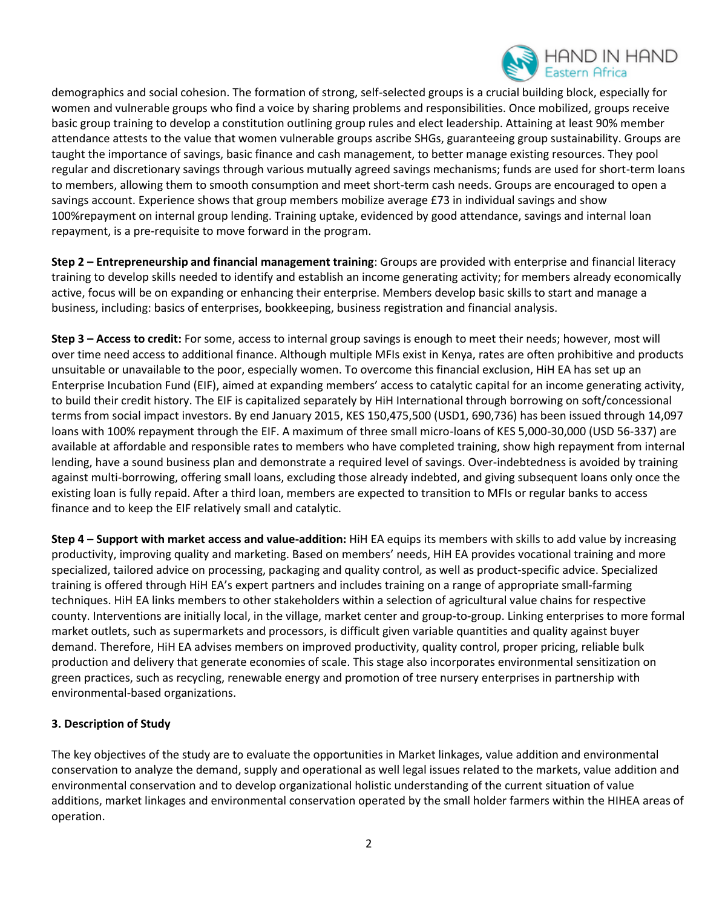

demographics and social cohesion. The formation of strong, self-selected groups is a crucial building block, especially for women and vulnerable groups who find a voice by sharing problems and responsibilities. Once mobilized, groups receive basic group training to develop a constitution outlining group rules and elect leadership. Attaining at least 90% member attendance attests to the value that women vulnerable groups ascribe SHGs, guaranteeing group sustainability. Groups are taught the importance of savings, basic finance and cash management, to better manage existing resources. They pool regular and discretionary savings through various mutually agreed savings mechanisms; funds are used for short-term loans to members, allowing them to smooth consumption and meet short-term cash needs. Groups are encouraged to open a savings account. Experience shows that group members mobilize average £73 in individual savings and show 100%repayment on internal group lending. Training uptake, evidenced by good attendance, savings and internal loan repayment, is a pre-requisite to move forward in the program.

**Step 2 – Entrepreneurship and financial management training**: Groups are provided with enterprise and financial literacy training to develop skills needed to identify and establish an income generating activity; for members already economically active, focus will be on expanding or enhancing their enterprise. Members develop basic skills to start and manage a business, including: basics of enterprises, bookkeeping, business registration and financial analysis.

**Step 3 – Access to credit:** For some, access to internal group savings is enough to meet their needs; however, most will over time need access to additional finance. Although multiple MFIs exist in Kenya, rates are often prohibitive and products unsuitable or unavailable to the poor, especially women. To overcome this financial exclusion, HiH EA has set up an Enterprise Incubation Fund (EIF), aimed at expanding members' access to catalytic capital for an income generating activity, to build their credit history. The EIF is capitalized separately by HiH International through borrowing on soft/concessional terms from social impact investors. By end January 2015, KES 150,475,500 (USD1, 690,736) has been issued through 14,097 loans with 100% repayment through the EIF. A maximum of three small micro-loans of KES 5,000-30,000 (USD 56-337) are available at affordable and responsible rates to members who have completed training, show high repayment from internal lending, have a sound business plan and demonstrate a required level of savings. Over-indebtedness is avoided by training against multi-borrowing, offering small loans, excluding those already indebted, and giving subsequent loans only once the existing loan is fully repaid. After a third loan, members are expected to transition to MFIs or regular banks to access finance and to keep the EIF relatively small and catalytic.

**Step 4 – Support with market access and value-addition:** HiH EA equips its members with skills to add value by increasing productivity, improving quality and marketing. Based on members' needs, HiH EA provides vocational training and more specialized, tailored advice on processing, packaging and quality control, as well as product-specific advice. Specialized training is offered through HiH EA's expert partners and includes training on a range of appropriate small-farming techniques. HiH EA links members to other stakeholders within a selection of agricultural value chains for respective county. Interventions are initially local, in the village, market center and group-to-group. Linking enterprises to more formal market outlets, such as supermarkets and processors, is difficult given variable quantities and quality against buyer demand. Therefore, HiH EA advises members on improved productivity, quality control, proper pricing, reliable bulk production and delivery that generate economies of scale. This stage also incorporates environmental sensitization on green practices, such as recycling, renewable energy and promotion of tree nursery enterprises in partnership with environmental-based organizations.

## **3. Description of Study**

The key objectives of the study are to evaluate the opportunities in Market linkages, value addition and environmental conservation to analyze the demand, supply and operational as well legal issues related to the markets, value addition and environmental conservation and to develop organizational holistic understanding of the current situation of value additions, market linkages and environmental conservation operated by the small holder farmers within the HIHEA areas of operation.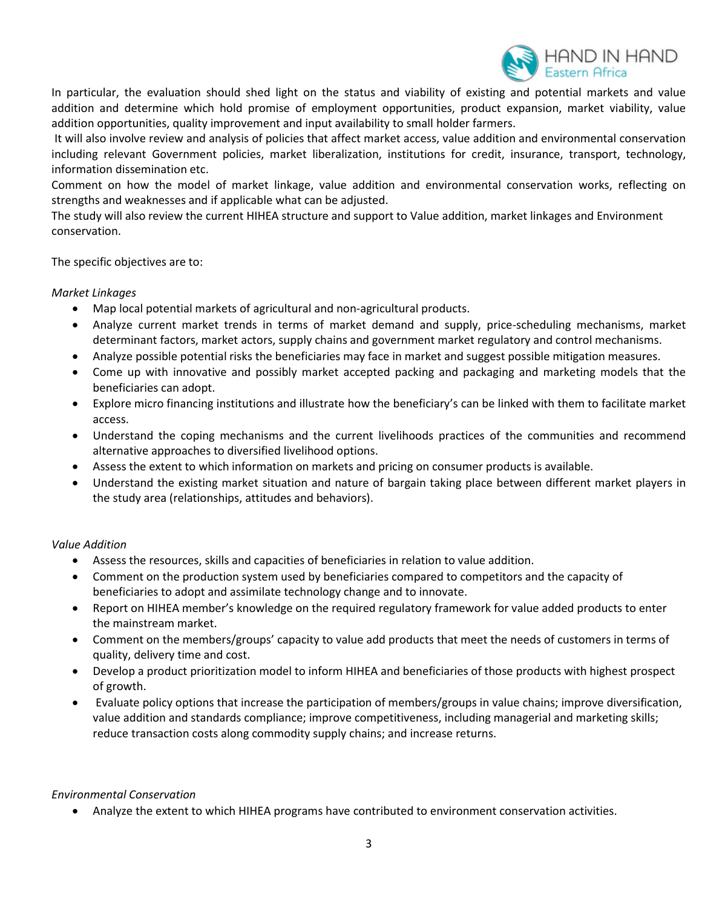

In particular, the evaluation should shed light on the status and viability of existing and potential markets and value addition and determine which hold promise of employment opportunities, product expansion, market viability, value addition opportunities, quality improvement and input availability to small holder farmers.

It will also involve review and analysis of policies that affect market access, value addition and environmental conservation including relevant Government policies, market liberalization, institutions for credit, insurance, transport, technology, information dissemination etc.

Comment on how the model of market linkage, value addition and environmental conservation works, reflecting on strengths and weaknesses and if applicable what can be adjusted.

The study will also review the current HIHEA structure and support to Value addition, market linkages and Environment conservation.

The specific objectives are to:

## *Market Linkages*

- Map local potential markets of agricultural and non-agricultural products.
- Analyze current market trends in terms of market demand and supply, price-scheduling mechanisms, market determinant factors, market actors, supply chains and government market regulatory and control mechanisms.
- Analyze possible potential risks the beneficiaries may face in market and suggest possible mitigation measures.
- Come up with innovative and possibly market accepted packing and packaging and marketing models that the beneficiaries can adopt.
- Explore micro financing institutions and illustrate how the beneficiary's can be linked with them to facilitate market access.
- Understand the coping mechanisms and the current livelihoods practices of the communities and recommend alternative approaches to diversified livelihood options.
- Assess the extent to which information on markets and pricing on consumer products is available.
- Understand the existing market situation and nature of bargain taking place between different market players in the study area (relationships, attitudes and behaviors).

#### *Value Addition*

- Assess the resources, skills and capacities of beneficiaries in relation to value addition.
- Comment on the production system used by beneficiaries compared to competitors and the capacity of beneficiaries to adopt and assimilate technology change and to innovate.
- Report on HIHEA member's knowledge on the required regulatory framework for value added products to enter the mainstream market.
- Comment on the members/groups' capacity to value add products that meet the needs of customers in terms of quality, delivery time and cost.
- Develop a product prioritization model to inform HIHEA and beneficiaries of those products with highest prospect of growth.
- Evaluate policy options that increase the participation of members/groups in value chains; improve diversification, value addition and standards compliance; improve competitiveness, including managerial and marketing skills; reduce transaction costs along commodity supply chains; and increase returns.

#### *Environmental Conservation*

Analyze the extent to which HIHEA programs have contributed to environment conservation activities.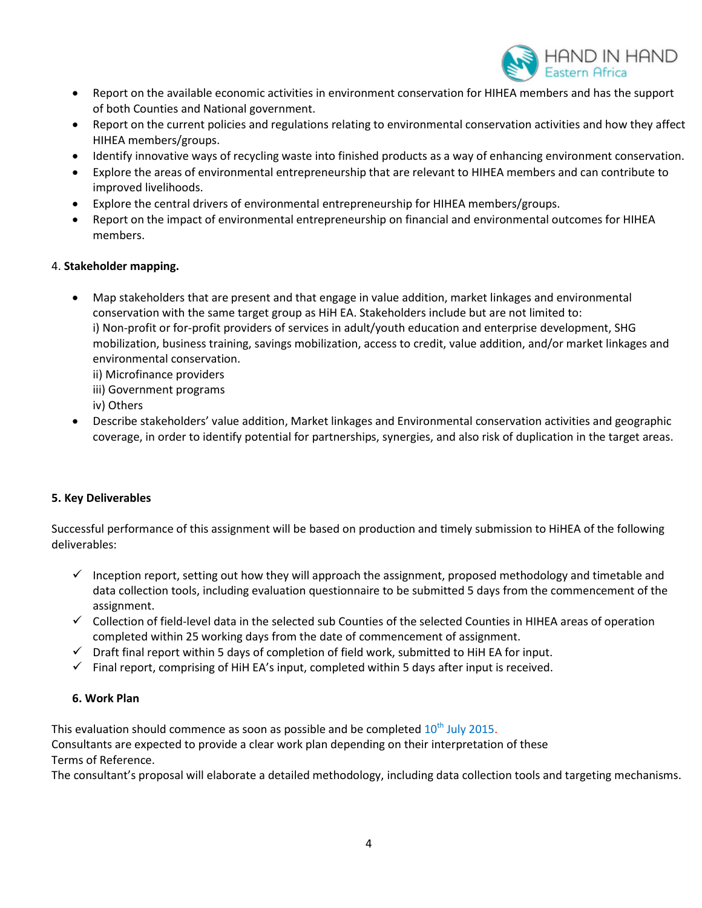

- Report on the available economic activities in environment conservation for HIHEA members and has the support of both Counties and National government.
- Report on the current policies and regulations relating to environmental conservation activities and how they affect HIHEA members/groups.
- Identify innovative ways of recycling waste into finished products as a way of enhancing environment conservation.
- Explore the areas of environmental entrepreneurship that are relevant to HIHEA members and can contribute to improved livelihoods.
- Explore the central drivers of environmental entrepreneurship for HIHEA members/groups.
- Report on the impact of environmental entrepreneurship on financial and environmental outcomes for HIHEA members.

#### 4. **Stakeholder mapping.**

- Map stakeholders that are present and that engage in value addition, market linkages and environmental conservation with the same target group as HiH EA. Stakeholders include but are not limited to: i) Non-profit or for-profit providers of services in adult/youth education and enterprise development, SHG mobilization, business training, savings mobilization, access to credit, value addition, and/or market linkages and environmental conservation.
	- ii) Microfinance providers
	- iii) Government programs
	- iv) Others
- Describe stakeholders' value addition, Market linkages and Environmental conservation activities and geographic coverage, in order to identify potential for partnerships, synergies, and also risk of duplication in the target areas.

## **5. Key Deliverables**

Successful performance of this assignment will be based on production and timely submission to HiHEA of the following deliverables:

- $\checkmark$  Inception report, setting out how they will approach the assignment, proposed methodology and timetable and data collection tools, including evaluation questionnaire to be submitted 5 days from the commencement of the assignment.
- $\checkmark$  Collection of field-level data in the selected sub Counties of the selected Counties in HIHEA areas of operation completed within 25 working days from the date of commencement of assignment.
- $\checkmark$  Draft final report within 5 days of completion of field work, submitted to HiH EA for input.
- $\checkmark$  Final report, comprising of HiH EA's input, completed within 5 days after input is received.

## **6. Work Plan**

This evaluation should commence as soon as possible and be completed  $10^{\text{th}}$  July 2015.

Consultants are expected to provide a clear work plan depending on their interpretation of these Terms of Reference.

The consultant's proposal will elaborate a detailed methodology, including data collection tools and targeting mechanisms.